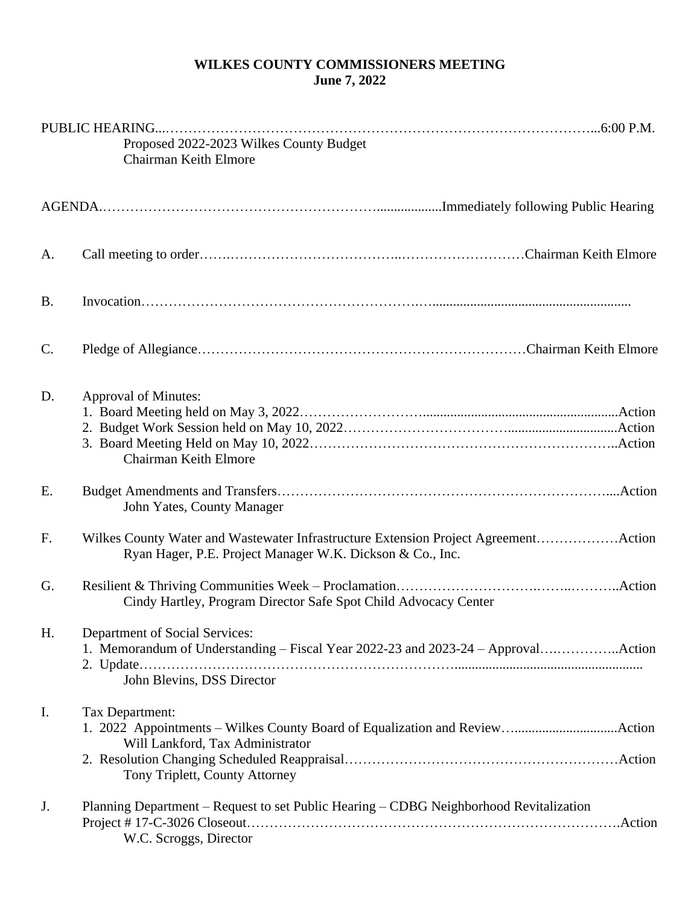## **WILKES COUNTY COMMISSIONERS MEETING June 7, 2022**

| Proposed 2022-2023 Wilkes County Budget<br>Chairman Keith Elmore |                                                                                                                                                          |
|------------------------------------------------------------------|----------------------------------------------------------------------------------------------------------------------------------------------------------|
|                                                                  |                                                                                                                                                          |
| A.                                                               |                                                                                                                                                          |
| <b>B.</b>                                                        |                                                                                                                                                          |
| $\mathcal{C}$ .                                                  |                                                                                                                                                          |
| D.                                                               | <b>Approval of Minutes:</b><br>Chairman Keith Elmore                                                                                                     |
| E.                                                               | John Yates, County Manager                                                                                                                               |
| F <sub>1</sub>                                                   | Wilkes County Water and Wastewater Infrastructure Extension Project AgreementAction<br>Ryan Hager, P.E. Project Manager W.K. Dickson & Co., Inc.         |
| G.                                                               | Cindy Hartley, Program Director Safe Spot Child Advocacy Center                                                                                          |
| H.                                                               | <b>Department of Social Services:</b><br>1. Memorandum of Understanding - Fiscal Year 2022-23 and 2023-24 - ApprovalAction<br>John Blevins, DSS Director |
| $\mathbf{I}$ .                                                   | Tax Department:<br>Will Lankford, Tax Administrator<br>Tony Triplett, County Attorney                                                                    |
| J.                                                               | Planning Department – Request to set Public Hearing – CDBG Neighborhood Revitalization<br>.Action<br>W.C. Scroggs, Director                              |